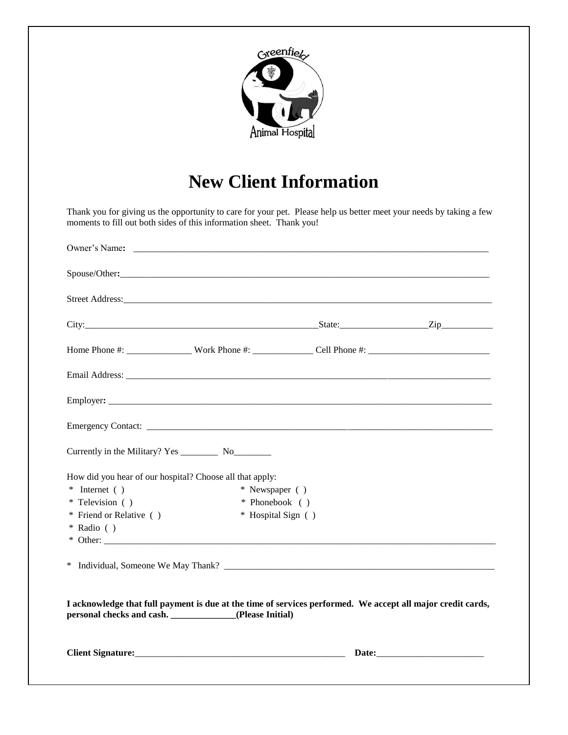

## **New Client Information**

Thank you for giving us the opportunity to care for your pet. Please help us better meet your needs by taking a few moments to fill out both sides of this information sheet. Thank you!

| Street Address:                                                                                             |
|-------------------------------------------------------------------------------------------------------------|
|                                                                                                             |
|                                                                                                             |
|                                                                                                             |
|                                                                                                             |
|                                                                                                             |
|                                                                                                             |
|                                                                                                             |
|                                                                                                             |
|                                                                                                             |
|                                                                                                             |
|                                                                                                             |
|                                                                                                             |
|                                                                                                             |
| I acknowledge that full payment is due at the time of services performed. We accept all major credit cards, |
| Date:                                                                                                       |
|                                                                                                             |